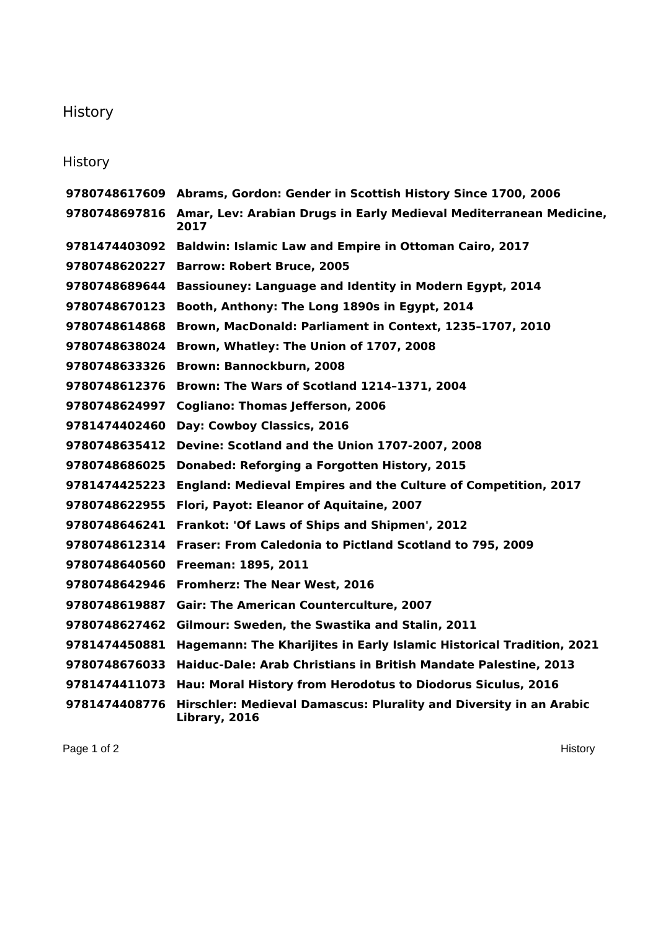## **History**

## **History**

 **Abrams, Gordon: Gender in Scottish History Since 1700, 2006 Amar, Lev: Arabian Drugs in Early Medieval Mediterranean Medicine, Baldwin: Islamic Law and Empire in Ottoman Cairo, 2017 Barrow: Robert Bruce, 2005 Bassiouney: Language and Identity in Modern Egypt, 2014 Booth, Anthony: The Long 1890s in Egypt, 2014 Brown, MacDonald: Parliament in Context, 1235–1707, 2010 Brown, Whatley: The Union of 1707, 2008 Brown: Bannockburn, 2008 Brown: The Wars of Scotland 1214–1371, 2004 Cogliano: Thomas Jefferson, 2006 Day: Cowboy Classics, 2016 Devine: Scotland and the Union 1707-2007, 2008 Donabed: Reforging a Forgotten History, 2015 England: Medieval Empires and the Culture of Competition, 2017 Flori, Payot: Eleanor of Aquitaine, 2007 Frankot: 'Of Laws of Ships and Shipmen', 2012 Fraser: From Caledonia to Pictland Scotland to 795, 2009 Freeman: 1895, 2011 Fromherz: The Near West, 2016 Gair: The American Counterculture, 2007 Gilmour: Sweden, the Swastika and Stalin, 2011 Hagemann: The Kharijites in Early Islamic Historical Tradition, 2021 Haiduc-Dale: Arab Christians in British Mandate Palestine, 2013 Hau: Moral History from Herodotus to Diodorus Siculus, 2016 Hirschler: Medieval Damascus: Plurality and Diversity in an Arabic Library, 2016**

Page 1 of 2 History